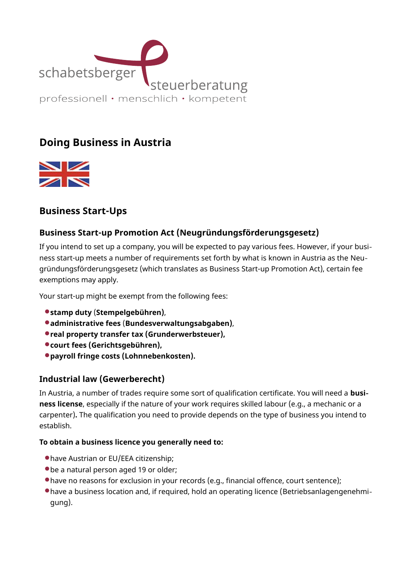

# Doing Business in Austria



# Business Start-Ups

## Business Start-up Promotion Act (Neugründungsförderungsgesetz)

If you intend to set up a company, you will be expected to pay various fees. However, if your business start-up meets a number of requirements set forth by what is known in Austria as the Neu‐ gründungsförderungsgesetz (which translates as Business Start-up Promotion Act), certain fee exemptions may apply.

Your start-up might be exempt from the following fees:

- stamp duty (Stempelgebühren),
- administrative fees (Bundesverwaltungsabgaben),
- real property transfer tax (Grunderwerbsteuer),
- court fees (Gerichtsgebühren),
- payroll fringe costs (Lohnnebenkosten).

## Industrial law (Gewerberecht)

In Austria, a number of trades require some sort of qualification certificate. You will need a **busi**ness license, especially if the nature of your work requires skilled labour (e.g., a mechanic or a carpenter). The qualification you need to provide depends on the type of business you intend to establish.

#### To obtain a business licence you generally need to:

- have Austrian or EU/EEA citizenship;
- be a natural person aged 19 or older;
- have no reasons for exclusion in your records (e.g., financial offence, court sentence);
- have a business location and, if required, hold an operating licence (Betriebsanlagengenehmigung).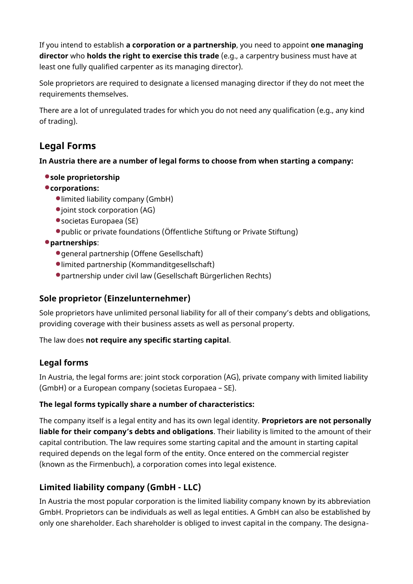If you intend to establish a corporation or a partnership, you need to appoint one managing director who holds the right to exercise this trade (e.g., a carpentry business must have at least one fully qualified carpenter as its managing director).

Sole proprietors are required to designate a licensed managing director if they do not meet the requirements themselves.

There are a lot of unregulated trades for which you do not need any qualification (e.g., any kind of trading).

# Legal Forms

In Austria there are a number of legal forms to choose from when starting a company:

#### sole proprietorship

### corporations:

- limited liability company (GmbH)
- $\bullet$  joint stock corporation (AG)
- societas Europaea (SE)
- public or private foundations (Öffentliche Stiftung or Private Stiftung)

## partnerships:

- general partnership (Offene Gesellschaft)
- limited partnership (Kommanditgesellschaft)
- partnership under civil law (Gesellschaft Bürgerlichen Rechts)

## Sole proprietor (Einzelunternehmer)

Sole proprietors have unlimited personal liability for all of their company's debts and obligations, providing coverage with their business assets as well as personal property.

#### The law does not require any specific starting capital.

## Legal forms

In Austria, the legal forms are: joint stock corporation (AG), private company with limited liability (GmbH) or a European company (societas Europaea – SE).

#### The legal forms typically share a number of characteristics:

The company itself is a legal entity and has its own legal identity. Proprietors are not personally liable for their company's debts and obligations. Their liability is limited to the amount of their capital contribution. The law requires some starting capital and the amount in starting capital required depends on the legal form of the entity. Once entered on the commercial register (known as the Firmenbuch), a corporation comes into legal existence.

## Limited liability company (GmbH - LLC)

In Austria the most popular corporation is the limited liability company known by its abbreviation GmbH. Proprietors can be individuals as well as legal entities. A GmbH can also be established by only one shareholder. Each shareholder is obliged to invest capital in the company. The designa‐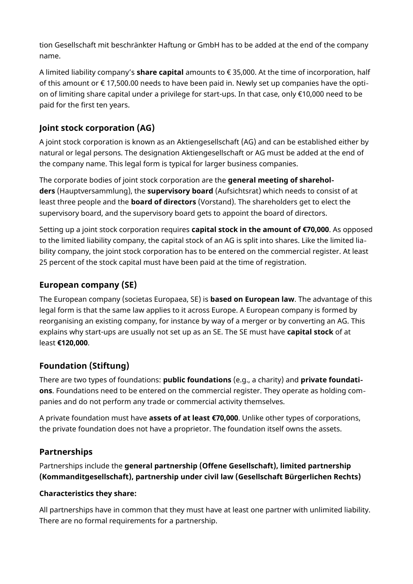tion Gesellschaft mit beschränkter Haftung or GmbH has to be added at the end of the company name.

A limited liability company's **share capital** amounts to  $\epsilon$  35,000. At the time of incorporation, half of this amount or  $\xi$  17,500.00 needs to have been paid in. Newly set up companies have the option of limiting share capital under a privilege for start-ups. In that case, only €10,000 need to be paid for the first ten years.

## Joint stock corporation (AG)

A joint stock corporation is known as an Aktiengesellschaft (AG) and can be established either by natural or legal persons. The designation Aktiengesellschaft or AG must be added at the end of the company name. This legal form is typical for larger business companies.

The corporate bodies of joint stock corporation are the **general meeting of sharehol** ders (Hauptversammlung), the supervisory board (Aufsichtsrat) which needs to consist of at least three people and the **board of directors** (Vorstand). The shareholders get to elect the supervisory board, and the supervisory board gets to appoint the board of directors.

Setting up a joint stock corporation requires **capital stock in the amount of €70,000**. As opposed to the limited liability company, the capital stock of an AG is split into shares. Like the limited lia‐ bility company, the joint stock corporation has to be entered on the commercial register. At least 25 percent of the stock capital must have been paid at the time of registration.

## European company (SE)

The European company (societas Europaea, SE) is **based on European law**. The advantage of this legal form is that the same law applies to it across Europe. A European company is formed by reorganising an existing company, for instance by way of a merger or by converting an AG. This explains why start-ups are usually not set up as an SE. The SE must have capital stock of at least €120,000.

## Foundation (Stiftung)

There are two types of foundations: public foundations (e.g., a charity) and private foundations. Foundations need to be entered on the commercial register. They operate as holding com‐ panies and do not perform any trade or commercial activity themselves.

A private foundation must have assets of at least €70,000. Unlike other types of corporations, the private foundation does not have a proprietor. The foundation itself owns the assets.

## Partnerships

Partnerships include the general partnership (Offene Gesellschaft), limited partnership (Kommanditgesellschaft), partnership under civil law (Gesellschaft Bürgerlichen Rechts)

#### Characteristics they share:

All partnerships have in common that they must have at least one partner with unlimited liability. There are no formal requirements for a partnership.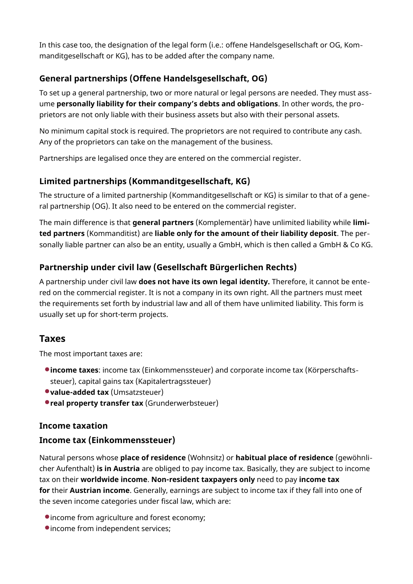In this case too, the designation of the legal form (i.e.: offene Handelsgesellschaft or OG, Kom‐ manditgesellschaft or KG), has to be added after the company name.

## General partnerships (Offene Handelsgesellschaft, OG)

To set up a general partnership, two or more natural or legal persons are needed. They must ass‐ ume personally liability for their company's debts and obligations. In other words, the proprietors are not only liable with their business assets but also with their personal assets.

No minimum capital stock is required. The proprietors are not required to contribute any cash. Any of the proprietors can take on the management of the business.

Partnerships are legalised once they are entered on the commercial register.

## Limited partnerships (Kommanditgesellschaft, KG)

The structure of a limited partnership (Kommanditgesellschaft or KG) is similar to that of a gene‐ ral partnership (OG). It also need to be entered on the commercial register.

The main difference is that **general partners** (Komplementär) have unlimited liability while **limi**ted partners (Kommanditist) are liable only for the amount of their liability deposit. The per‐ sonally liable partner can also be an entity, usually a GmbH, which is then called a GmbH & Co KG.

## Partnership under civil law (Gesellschaft Bürgerlichen Rechts)

A partnership under civil law does not have its own legal identity. Therefore, it cannot be ente‐ red on the commercial register. It is not a company in its own right. All the partners must meet the requirements set forth by industrial law and all of them have unlimited liability. This form is usually set up for short-term projects.

## Taxes

The most important taxes are:

- **income taxes:** income tax (Einkommenssteuer) and corporate income tax (Körperschaftssteuer), capital gains tax (Kapitalertragssteuer)
- value-added tax (Umsatzsteuer)
- **real property transfer tax** (Grunderwerbsteuer)

## Income taxation

## Income tax (Einkommenssteuer)

Natural persons whose place of residence (Wohnsitz) or habitual place of residence (gewöhnli‐ cher Aufenthalt) is in Austria are obliged to pay income tax. Basically, they are subject to income tax on their worldwide income. Non-resident taxpayers only need to pay income tax for their Austrian income. Generally, earnings are subject to income tax if they fall into one of the seven income categories under fiscal law, which are:

- income from agriculture and forest economy;
- $\bullet$  income from independent services;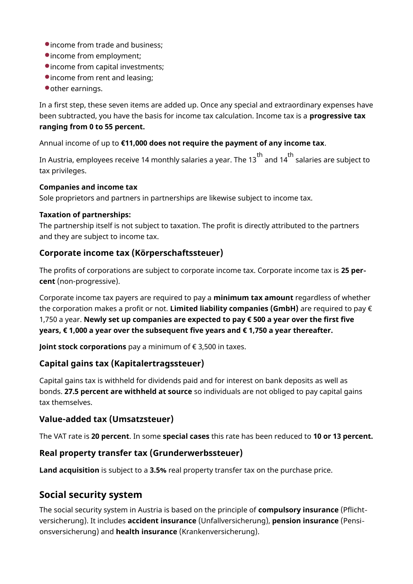- income from trade and business;
- income from employment;
- income from capital investments;
- income from rent and leasing;
- other earnings.

In a first step, these seven items are added up. Once any special and extraordinary expenses have been subtracted, you have the basis for income tax calculation. Income tax is a **progressive tax** ranging from 0 to 55 percent.

Annual income of up to €11,000 does not require the payment of any income tax.

In Austria, employees receive 14 monthly salaries a year. The 13  $^{\rm th}$  and 14  $^{\rm th}$  salaries are subject to tax privileges.

#### Companies and income tax

Sole proprietors and partners in partnerships are likewise subject to income tax.

#### Taxation of partnerships:

The partnership itself is not subject to taxation. The profit is directly attributed to the partners and they are subject to income tax.

### Corporate income tax (Körperschaftssteuer)

The profits of corporations are subject to corporate income tax. Corporate income tax is 25 percent (non-progressive).

Corporate income tax payers are required to pay a **minimum tax amount** regardless of whether the corporation makes a profit or not. Limited liability companies (GmbH) are required to pay  $\epsilon$ 1,750 a year. Newly set up companies are expected to pay € 500 a year over the first five years, € 1,000 a year over the subsequent five years and € 1,750 a year thereafter.

Joint stock corporations pay a minimum of  $\epsilon$  3,500 in taxes.

#### Capital gains tax (Kapitalertragssteuer)

Capital gains tax is withheld for dividends paid and for interest on bank deposits as well as bonds. 27.5 percent are withheld at source so individuals are not obliged to pay capital gains tax themselves.

#### Value-added tax (Umsatzsteuer)

The VAT rate is 20 percent. In some special cases this rate has been reduced to 10 or 13 percent.

#### Real property transfer tax (Grunderwerbssteuer)

Land acquisition is subject to a 3.5% real property transfer tax on the purchase price.

## Social security system

The social security system in Austria is based on the principle of **compulsory insurance** (Pflichtversicherung). It includes accident insurance (Unfallversicherung), pension insurance (Pensi‐ onsversicherung) and health insurance (Krankenversicherung).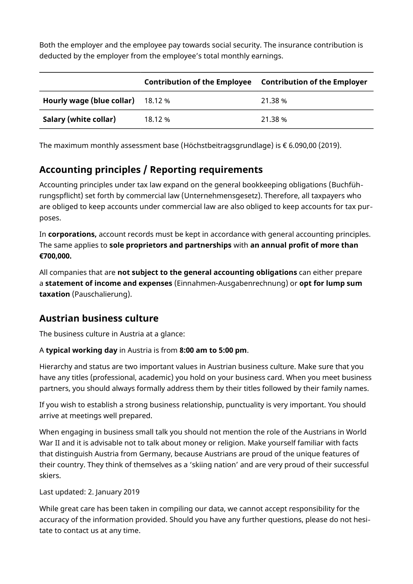Both the employer and the employee pay towards social security. The insurance contribution is deducted by the employer from the employee's total monthly earnings.

|                                           | Contribution of the Employee Contribution of the Employer |         |
|-------------------------------------------|-----------------------------------------------------------|---------|
| <b>Hourly wage (blue collar)</b> $18.12%$ |                                                           | 21.38 % |
| Salary (white collar)                     | 18.12%                                                    | 21.38 % |

The maximum monthly assessment base (Höchstbeitragsgrundlage) is € 6.090,00 (2019).

# Accounting principles / Reporting requirements

Accounting principles under tax law expand on the general bookkeeping obligations (Buchfüh‐ rungspflicht) set forth by commercial law (Unternehmensgesetz). Therefore, all taxpayers who are obliged to keep accounts under commercial law are also obliged to keep accounts for tax pur‐ poses.

In corporations, account records must be kept in accordance with general accounting principles. The same applies to **sole proprietors and partnerships** with an annual profit of more than €700,000.

All companies that are not subject to the general accounting obligations can either prepare a statement of income and expenses (Einnahmen-Ausgabenrechnung) or opt for lump sum taxation (Pauschalierung).

## Austrian business culture

The business culture in Austria at a glance:

#### A typical working day in Austria is from 8:00 am to 5:00 pm.

Hierarchy and status are two important values in Austrian business culture. Make sure that you have any titles (professional, academic) you hold on your business card. When you meet business partners, you should always formally address them by their titles followed by their family names.

If you wish to establish a strong business relationship, punctuality is very important. You should arrive at meetings well prepared.

When engaging in business small talk you should not mention the role of the Austrians in World War II and it is advisable not to talk about money or religion. Make yourself familiar with facts that distinguish Austria from Germany, because Austrians are proud of the unique features of their country. They think of themselves as a 'skiing nation' and are very proud of their successful skiers.

Last updated: 2. January 2019

While great care has been taken in compiling our data, we cannot accept responsibility for the accuracy of the information provided. Should you have any further questions, please do not hesi‐ tate to contact us at any time.